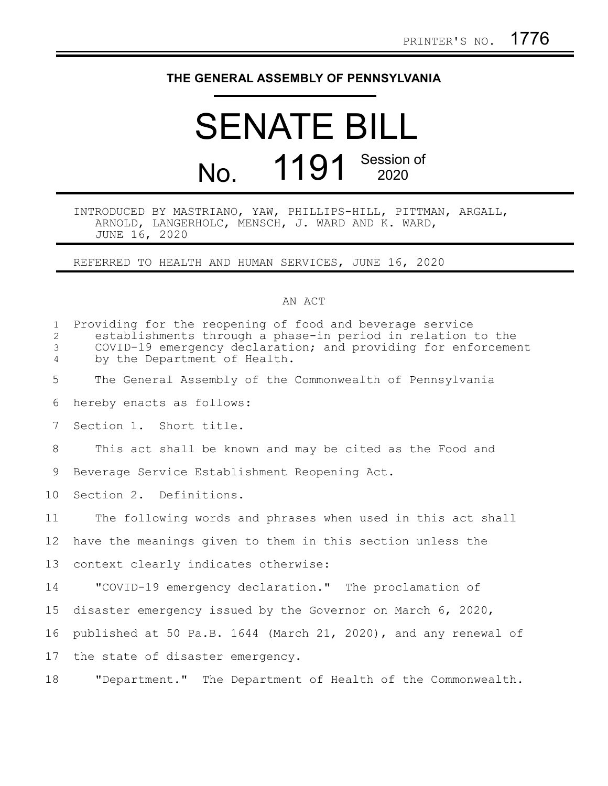## **THE GENERAL ASSEMBLY OF PENNSYLVANIA**

## SENATE BILL No. 1191 Session of

## INTRODUCED BY MASTRIANO, YAW, PHILLIPS-HILL, PITTMAN, ARGALL, ARNOLD, LANGERHOLC, MENSCH, J. WARD AND K. WARD, JUNE 16, 2020

REFERRED TO HEALTH AND HUMAN SERVICES, JUNE 16, 2020

## AN ACT

| $\mathbf{1}$<br>$\overline{2}$<br>3<br>$\overline{4}$ | Providing for the reopening of food and beverage service<br>establishments through a phase-in period in relation to the<br>COVID-19 emergency declaration; and providing for enforcement<br>by the Department of Health. |
|-------------------------------------------------------|--------------------------------------------------------------------------------------------------------------------------------------------------------------------------------------------------------------------------|
| 5                                                     | The General Assembly of the Commonwealth of Pennsylvania                                                                                                                                                                 |
| 6                                                     | hereby enacts as follows:                                                                                                                                                                                                |
| 7                                                     | Section 1. Short title.                                                                                                                                                                                                  |
| 8                                                     | This act shall be known and may be cited as the Food and                                                                                                                                                                 |
| 9                                                     | Beverage Service Establishment Reopening Act.                                                                                                                                                                            |
| 10 <sup>°</sup>                                       | Section 2. Definitions.                                                                                                                                                                                                  |
| 11                                                    | The following words and phrases when used in this act shall                                                                                                                                                              |
| 12 <sup>°</sup>                                       | have the meanings given to them in this section unless the                                                                                                                                                               |
| 13                                                    | context clearly indicates otherwise:                                                                                                                                                                                     |
| 14                                                    | "COVID-19 emergency declaration." The proclamation of                                                                                                                                                                    |
| 15                                                    | disaster emergency issued by the Governor on March 6, 2020,                                                                                                                                                              |
| 16                                                    | published at 50 Pa.B. 1644 (March 21, 2020), and any renewal of                                                                                                                                                          |
| 17                                                    | the state of disaster emergency.                                                                                                                                                                                         |
| 18                                                    | "Department." The Department of Health of the Commonwealth.                                                                                                                                                              |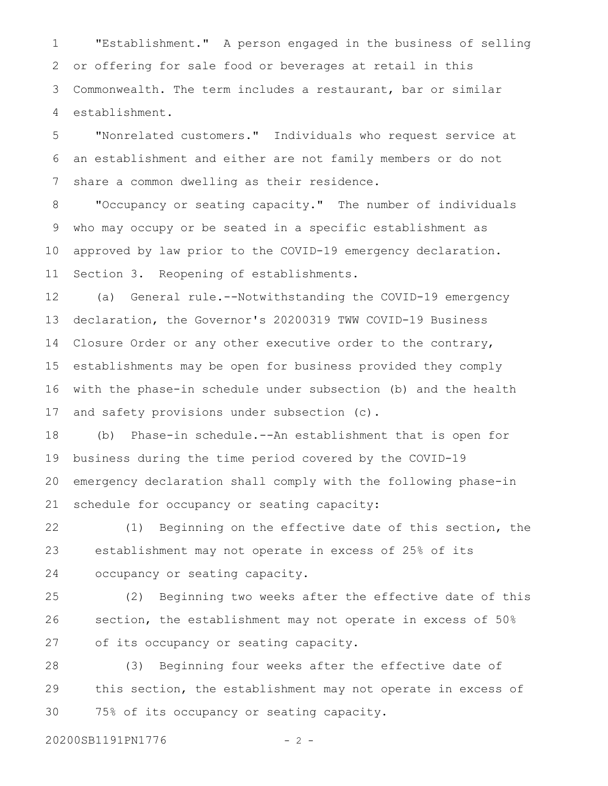"Establishment." A person engaged in the business of selling or offering for sale food or beverages at retail in this Commonwealth. The term includes a restaurant, bar or similar establishment. 1 2 3 4

"Nonrelated customers." Individuals who request service at an establishment and either are not family members or do not share a common dwelling as their residence. 5 6 7

"Occupancy or seating capacity." The number of individuals who may occupy or be seated in a specific establishment as approved by law prior to the COVID-19 emergency declaration. Section 3. Reopening of establishments. 8 9 10 11

(a) General rule.--Notwithstanding the COVID-19 emergency declaration, the Governor's 20200319 TWW COVID-19 Business Closure Order or any other executive order to the contrary, establishments may be open for business provided they comply with the phase-in schedule under subsection (b) and the health and safety provisions under subsection (c). 12 13 14 15 16 17

(b) Phase-in schedule.--An establishment that is open for business during the time period covered by the COVID-19 emergency declaration shall comply with the following phase-in schedule for occupancy or seating capacity: 18 19 20 21

(1) Beginning on the effective date of this section, the establishment may not operate in excess of 25% of its occupancy or seating capacity. 22 23 24

(2) Beginning two weeks after the effective date of this section, the establishment may not operate in excess of 50% of its occupancy or seating capacity. 25 26 27

(3) Beginning four weeks after the effective date of this section, the establishment may not operate in excess of 75% of its occupancy or seating capacity. 28 29 30

20200SB1191PN1776 - 2 -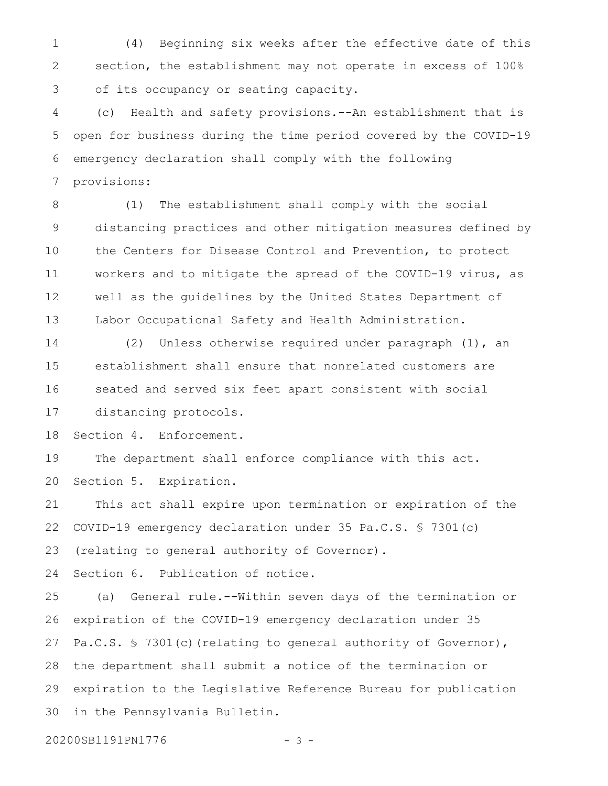(4) Beginning six weeks after the effective date of this section, the establishment may not operate in excess of 100% of its occupancy or seating capacity. 1 2 3

(c) Health and safety provisions.--An establishment that is open for business during the time period covered by the COVID-19 emergency declaration shall comply with the following provisions: 4 5 6 7

(1) The establishment shall comply with the social distancing practices and other mitigation measures defined by the Centers for Disease Control and Prevention, to protect workers and to mitigate the spread of the COVID-19 virus, as well as the guidelines by the United States Department of Labor Occupational Safety and Health Administration. 8 9 10 11 12 13

(2) Unless otherwise required under paragraph (1), an establishment shall ensure that nonrelated customers are seated and served six feet apart consistent with social distancing protocols. 14 15 16 17

Section 4. Enforcement. 18

The department shall enforce compliance with this act. Section 5. Expiration. 19 20

This act shall expire upon termination or expiration of the COVID-19 emergency declaration under 35 Pa.C.S. § 7301(c) 21 22

(relating to general authority of Governor). 23

Section 6. Publication of notice. 24

(a) General rule.--Within seven days of the termination or expiration of the COVID-19 emergency declaration under 35 Pa.C.S. § 7301(c) (relating to general authority of Governor), the department shall submit a notice of the termination or expiration to the Legislative Reference Bureau for publication in the Pennsylvania Bulletin. 25 26 27 28 29 30

20200SB1191PN1776 - 3 -